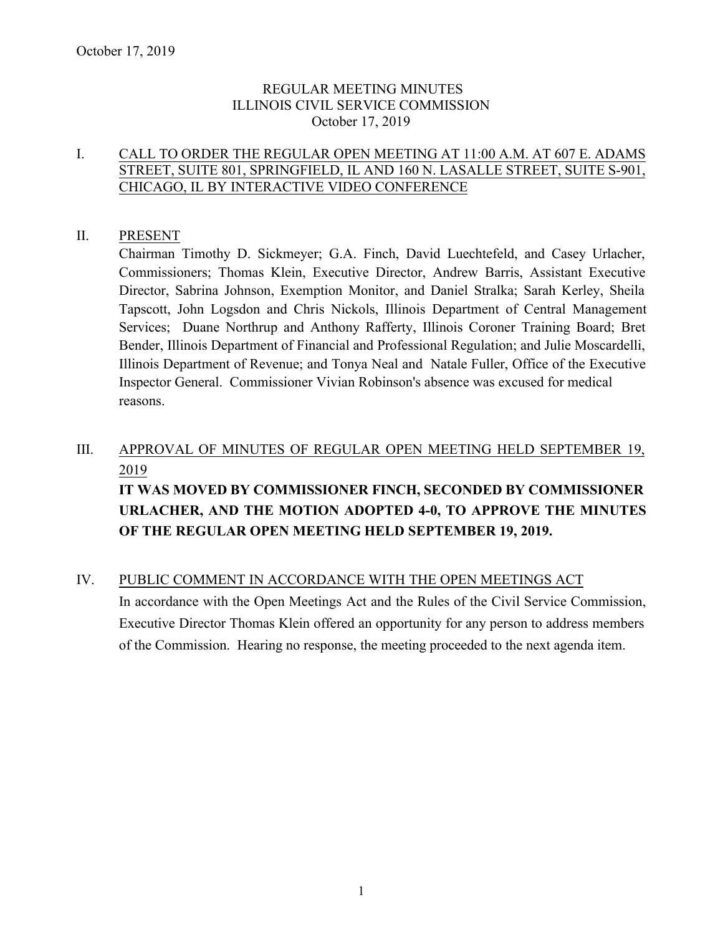#### REGULAR MEETING MINUTES ILLINOIS CIVIL SERVICE COMMISSION October 17, 2019

#### I. CALL TO ORDER THE REGULAR OPEN MEETING AT 11:00 A.M. AT 607 E. ADAMS STREET, SUITE 801, SPRINGFIELD, IL AND 160 N. LASALLE STREET, SUITE S-901, CHICAGO, IL BY INTERACTIVE VIDEO CONFERENCE

#### II. PRESENT

Chairman Timothy D. Sickmeyer; G.A. Finch, David Luechtefeld, and Casey Urlacher, Commissioners; Thomas Klein, Executive Director, Andrew Barris, Assistant Executive Director, Sabrina Johnson, Exemption Monitor, and Daniel Stralka; Sarah Kerley, Sheila Tapscott, John Logsdon and Chris Nickols, Illinois Department of Central Management Services; Duane Northrup and Anthony Rafferty, Illinois Coroner Training Board; Bret Bender, Illinois Department of Financial and Professional Regulation; and Julie Moscardelli, Illinois Department of Revenue; and Tonya Neal and Natale Fuller, Office of the Executive Inspector General. Commissioner Vivian Robinson's absence was excused for medical reasons.

## III. APPROVAL OF MINUTES OF REGULAR OPEN MEETING HELD SEPTEMBER 19, 2019 **IT WAS MOVED BY COMMISSIONER FINCH, SECONDED BY COMMISSIONER**

# **URLACHER, AND THE MOTION ADOPTED 4-0, TO APPROVE THE MINUTES OF THE REGULAR OPEN MEETING HELD SEPTEMBER 19, 2019.**

#### IV. PUBLIC COMMENT IN ACCORDANCE WITH THE OPEN MEETINGS ACT

In accordance with the Open Meetings Act and the Rules of the Civil Service Commission, Executive Director Thomas Klein offered an opportunity for any person to address members of the Commission. Hearing no response, the meeting proceeded to the next agenda item.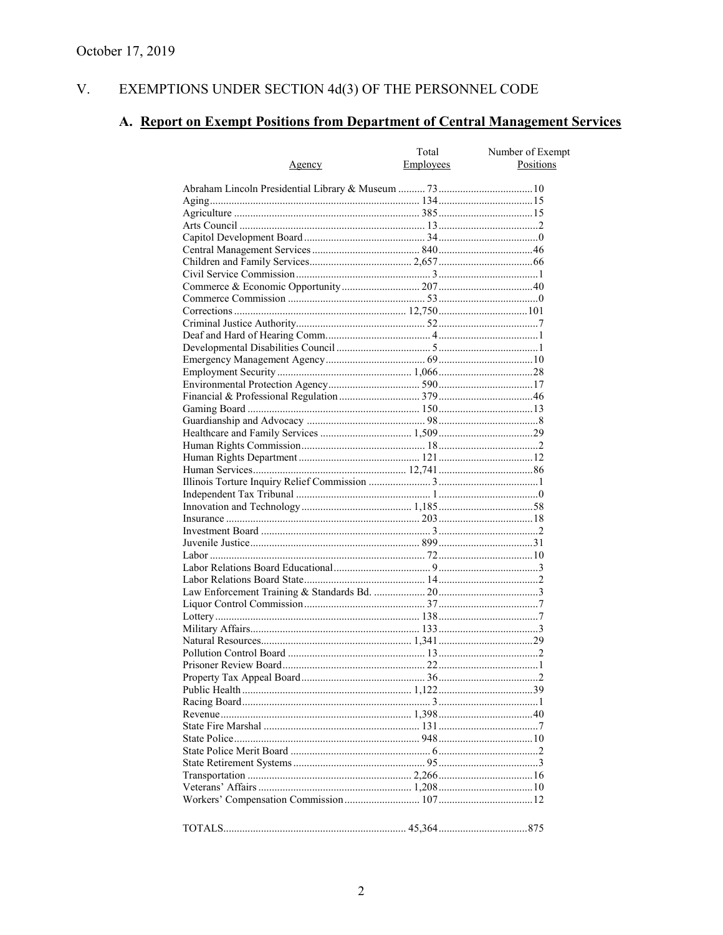#### V. EXEMPTIONS UNDER SECTION  $4d(3)$  OF THE PERSONNEL CODE

### A. Report on Exempt Positions from Department of Central Management Services

| Agency | Total<br>Employees | Number of Exempt<br>Positions |
|--------|--------------------|-------------------------------|
|        |                    |                               |
|        |                    |                               |
|        |                    |                               |
|        |                    |                               |
|        |                    |                               |
|        |                    |                               |
|        |                    |                               |
|        |                    |                               |
|        |                    |                               |
|        |                    |                               |
|        |                    |                               |
|        |                    |                               |
|        |                    |                               |
|        |                    |                               |
|        |                    |                               |
|        |                    |                               |
|        |                    |                               |
|        |                    |                               |
|        |                    |                               |
|        |                    |                               |
|        |                    |                               |
|        |                    |                               |
|        |                    |                               |
|        |                    |                               |
|        |                    |                               |
|        |                    |                               |
|        |                    |                               |
|        |                    |                               |
|        |                    |                               |
|        |                    |                               |
|        |                    |                               |
|        |                    |                               |
|        |                    |                               |
|        |                    |                               |
|        |                    |                               |
|        |                    |                               |
|        |                    |                               |
|        |                    |                               |
|        |                    |                               |
|        |                    |                               |
|        |                    |                               |
|        |                    |                               |
|        |                    |                               |
|        |                    |                               |
|        |                    |                               |
|        |                    |                               |
|        |                    |                               |
|        |                    |                               |
|        |                    |                               |
|        |                    |                               |
|        |                    |                               |
|        |                    |                               |
|        |                    |                               |
|        |                    |                               |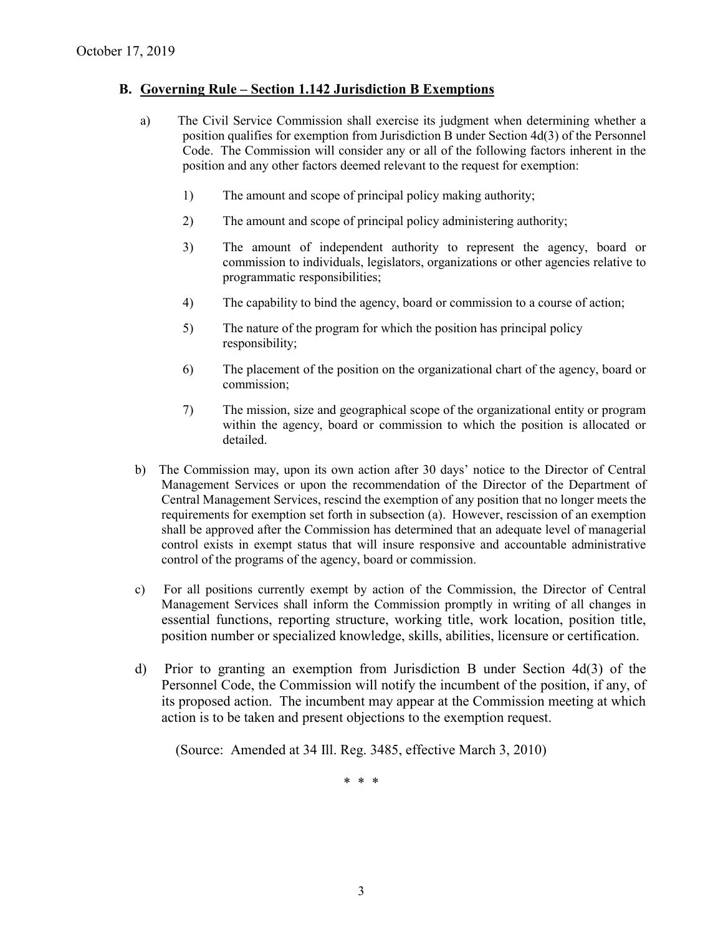#### **B. Governing Rule – Section 1.142 Jurisdiction B Exemptions**

- a) The Civil Service Commission shall exercise its judgment when determining whether a position qualifies for exemption from Jurisdiction B under Section 4d(3) of the Personnel Code. The Commission will consider any or all of the following factors inherent in the position and any other factors deemed relevant to the request for exemption:
	- 1) The amount and scope of principal policy making authority;
	- 2) The amount and scope of principal policy administering authority;
	- 3) The amount of independent authority to represent the agency, board or commission to individuals, legislators, organizations or other agencies relative to programmatic responsibilities;
	- 4) The capability to bind the agency, board or commission to a course of action;
	- 5) The nature of the program for which the position has principal policy responsibility;
	- 6) The placement of the position on the organizational chart of the agency, board or commission;
	- 7) The mission, size and geographical scope of the organizational entity or program within the agency, board or commission to which the position is allocated or detailed.
- b) The Commission may, upon its own action after 30 days' notice to the Director of Central Management Services or upon the recommendation of the Director of the Department of Central Management Services, rescind the exemption of any position that no longer meets the requirements for exemption set forth in subsection (a). However, rescission of an exemption shall be approved after the Commission has determined that an adequate level of managerial control exists in exempt status that will insure responsive and accountable administrative control of the programs of the agency, board or commission.
- c) For all positions currently exempt by action of the Commission, the Director of Central Management Services shall inform the Commission promptly in writing of all changes in essential functions, reporting structure, working title, work location, position title, position number or specialized knowledge, skills, abilities, licensure or certification.
- d) Prior to granting an exemption from Jurisdiction B under Section 4d(3) of the Personnel Code, the Commission will notify the incumbent of the position, if any, of its proposed action. The incumbent may appear at the Commission meeting at which action is to be taken and present objections to the exemption request.

(Source: Amended at 34 Ill. Reg. 3485, effective March 3, 2010)

\* \* \*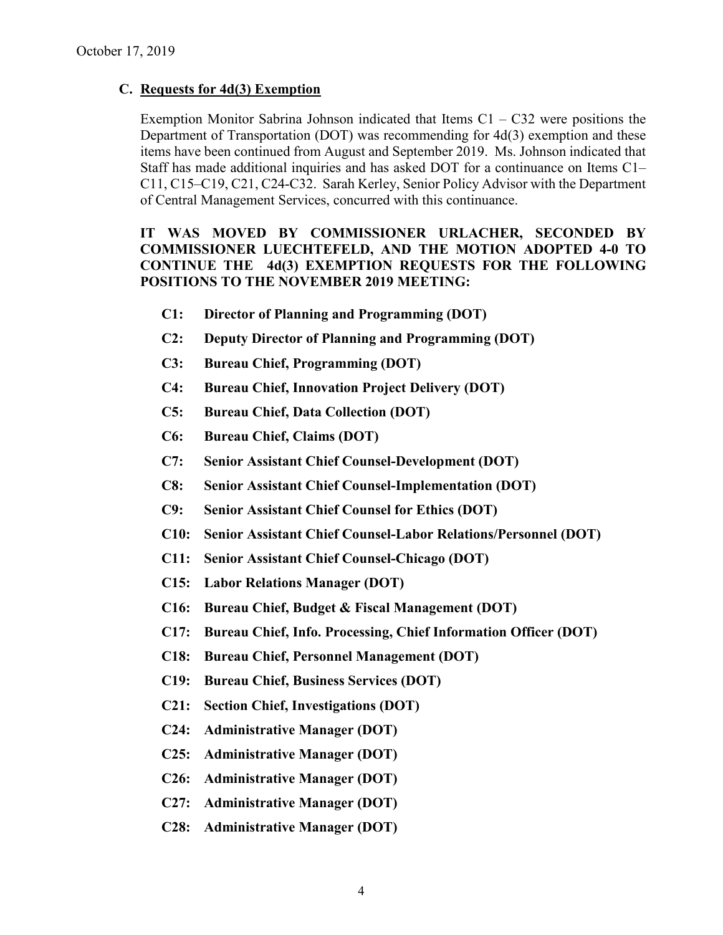#### **C. Requests for 4d(3) Exemption**

Exemption Monitor Sabrina Johnson indicated that Items  $C1 - C32$  were positions the Department of Transportation (DOT) was recommending for 4d(3) exemption and these items have been continued from August and September 2019. Ms. Johnson indicated that Staff has made additional inquiries and has asked DOT for a continuance on Items C1– C11, C15–C19, C21, C24-C32. Sarah Kerley, Senior Policy Advisor with the Department of Central Management Services, concurred with this continuance.

#### **IT WAS MOVED BY COMMISSIONER URLACHER, SECONDED BY COMMISSIONER LUECHTEFELD, AND THE MOTION ADOPTED 4-0 TO CONTINUE THE 4d(3) EXEMPTION REQUESTS FOR THE FOLLOWING POSITIONS TO THE NOVEMBER 2019 MEETING:**

- **C1: Director of Planning and Programming (DOT)**
- **C2: Deputy Director of Planning and Programming (DOT)**
- **C3: Bureau Chief, Programming (DOT)**
- **C4: Bureau Chief, Innovation Project Delivery (DOT)**
- **C5: Bureau Chief, Data Collection (DOT)**
- **C6: Bureau Chief, Claims (DOT)**
- **C7: Senior Assistant Chief Counsel-Development (DOT)**
- **C8: Senior Assistant Chief Counsel-Implementation (DOT)**
- **C9: Senior Assistant Chief Counsel for Ethics (DOT)**
- **C10: Senior Assistant Chief Counsel-Labor Relations/Personnel (DOT)**
- **C11: Senior Assistant Chief Counsel-Chicago (DOT)**
- **C15: Labor Relations Manager (DOT)**
- **C16: Bureau Chief, Budget & Fiscal Management (DOT)**
- **C17: Bureau Chief, Info. Processing, Chief Information Officer (DOT)**
- **C18: Bureau Chief, Personnel Management (DOT)**
- **C19: Bureau Chief, Business Services (DOT)**
- **C21: Section Chief, Investigations (DOT)**
- **C24: Administrative Manager (DOT)**
- **C25: Administrative Manager (DOT)**
- **C26: Administrative Manager (DOT)**
- **C27: Administrative Manager (DOT)**
- **C28: Administrative Manager (DOT)**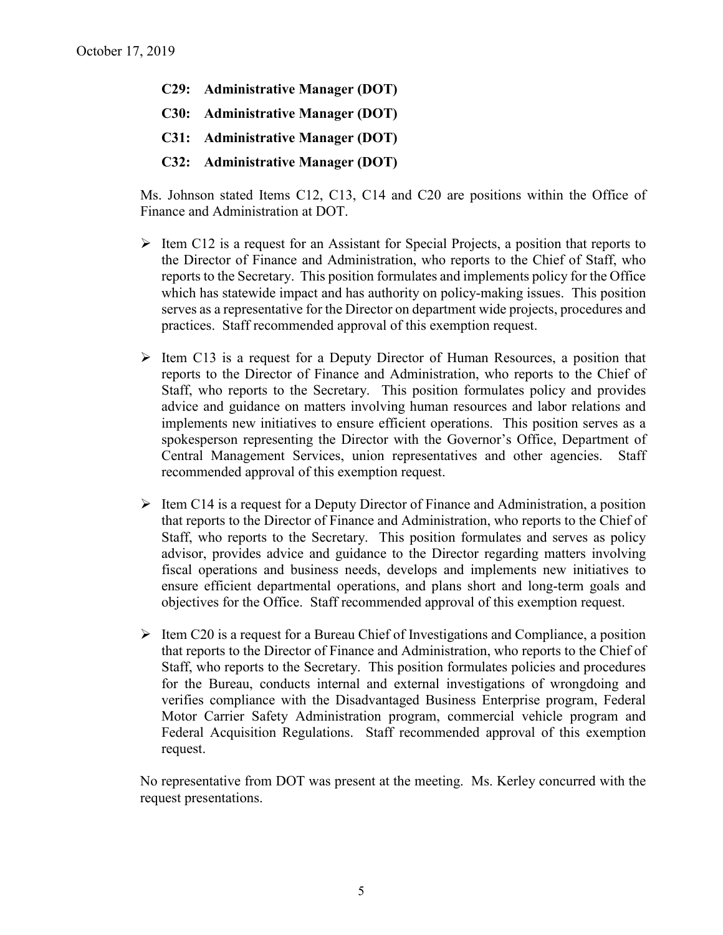- **C29: Administrative Manager (DOT)**
- **C30: Administrative Manager (DOT)**
- **C31: Administrative Manager (DOT)**
- **C32: Administrative Manager (DOT)**

Ms. Johnson stated Items C12, C13, C14 and C20 are positions within the Office of Finance and Administration at DOT.

- $\triangleright$  Item C12 is a request for an Assistant for Special Projects, a position that reports to the Director of Finance and Administration, who reports to the Chief of Staff, who reports to the Secretary. This position formulates and implements policy for the Office which has statewide impact and has authority on policy-making issues. This position serves as a representative for the Director on department wide projects, procedures and practices. Staff recommended approval of this exemption request.
- $\triangleright$  Item C13 is a request for a Deputy Director of Human Resources, a position that reports to the Director of Finance and Administration, who reports to the Chief of Staff, who reports to the Secretary. This position formulates policy and provides advice and guidance on matters involving human resources and labor relations and implements new initiatives to ensure efficient operations. This position serves as a spokesperson representing the Director with the Governor's Office, Department of Central Management Services, union representatives and other agencies. Staff recommended approval of this exemption request.
- $\triangleright$  Item C14 is a request for a Deputy Director of Finance and Administration, a position that reports to the Director of Finance and Administration, who reports to the Chief of Staff, who reports to the Secretary. This position formulates and serves as policy advisor, provides advice and guidance to the Director regarding matters involving fiscal operations and business needs, develops and implements new initiatives to ensure efficient departmental operations, and plans short and long-term goals and objectives for the Office. Staff recommended approval of this exemption request.
- $\triangleright$  Item C20 is a request for a Bureau Chief of Investigations and Compliance, a position that reports to the Director of Finance and Administration, who reports to the Chief of Staff, who reports to the Secretary. This position formulates policies and procedures for the Bureau, conducts internal and external investigations of wrongdoing and verifies compliance with the Disadvantaged Business Enterprise program, Federal Motor Carrier Safety Administration program, commercial vehicle program and Federal Acquisition Regulations. Staff recommended approval of this exemption request.

No representative from DOT was present at the meeting. Ms. Kerley concurred with the request presentations.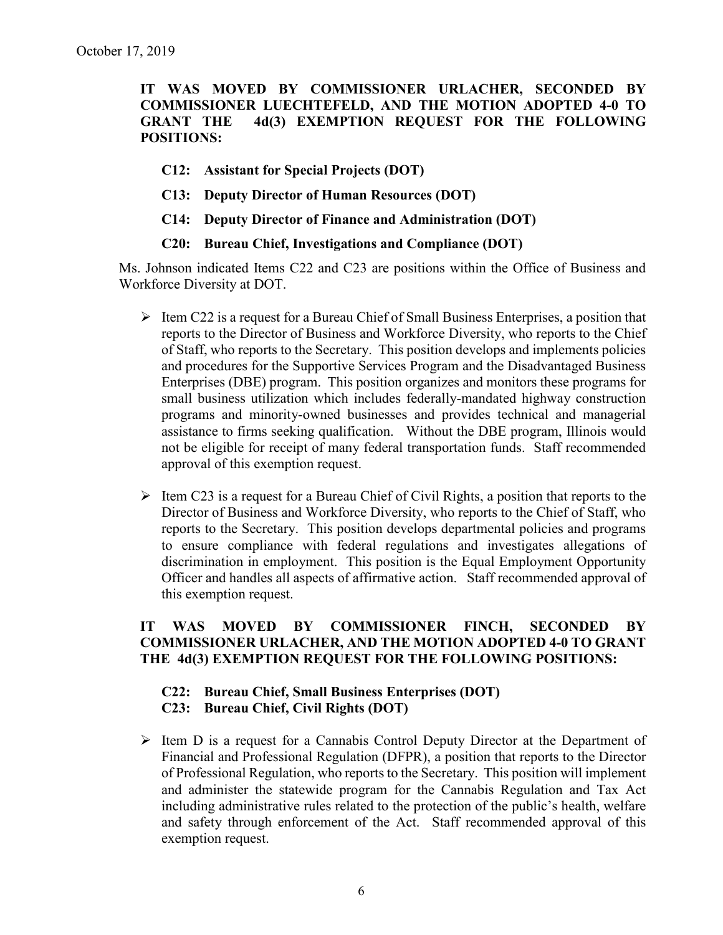**IT WAS MOVED BY COMMISSIONER URLACHER, SECONDED BY COMMISSIONER LUECHTEFELD, AND THE MOTION ADOPTED 4-0 TO GRANT THE 4d(3) EXEMPTION REQUEST FOR THE FOLLOWING POSITIONS:**

- **C12: Assistant for Special Projects (DOT)**
- **C13: Deputy Director of Human Resources (DOT)**
- **C14: Deputy Director of Finance and Administration (DOT)**
- **C20: Bureau Chief, Investigations and Compliance (DOT)**

Ms. Johnson indicated Items C22 and C23 are positions within the Office of Business and Workforce Diversity at DOT.

- $\triangleright$  Item C22 is a request for a Bureau Chief of Small Business Enterprises, a position that reports to the Director of Business and Workforce Diversity, who reports to the Chief of Staff, who reports to the Secretary. This position develops and implements policies and procedures for the Supportive Services Program and the Disadvantaged Business Enterprises (DBE) program. This position organizes and monitors these programs for small business utilization which includes federally-mandated highway construction programs and minority-owned businesses and provides technical and managerial assistance to firms seeking qualification. Without the DBE program, Illinois would not be eligible for receipt of many federal transportation funds. Staff recommended approval of this exemption request.
- $\triangleright$  Item C23 is a request for a Bureau Chief of Civil Rights, a position that reports to the Director of Business and Workforce Diversity, who reports to the Chief of Staff, who reports to the Secretary. This position develops departmental policies and programs to ensure compliance with federal regulations and investigates allegations of discrimination in employment. This position is the Equal Employment Opportunity Officer and handles all aspects of affirmative action. Staff recommended approval of this exemption request.

#### **IT WAS MOVED BY COMMISSIONER FINCH, SECONDED BY COMMISSIONER URLACHER, AND THE MOTION ADOPTED 4-0 TO GRANT THE 4d(3) EXEMPTION REQUEST FOR THE FOLLOWING POSITIONS:**

#### **C22: Bureau Chief, Small Business Enterprises (DOT) C23: Bureau Chief, Civil Rights (DOT)**

 $\triangleright$  Item D is a request for a Cannabis Control Deputy Director at the Department of Financial and Professional Regulation (DFPR), a position that reports to the Director of Professional Regulation, who reports to the Secretary. This position will implement and administer the statewide program for the Cannabis Regulation and Tax Act including administrative rules related to the protection of the public's health, welfare and safety through enforcement of the Act. Staff recommended approval of this exemption request.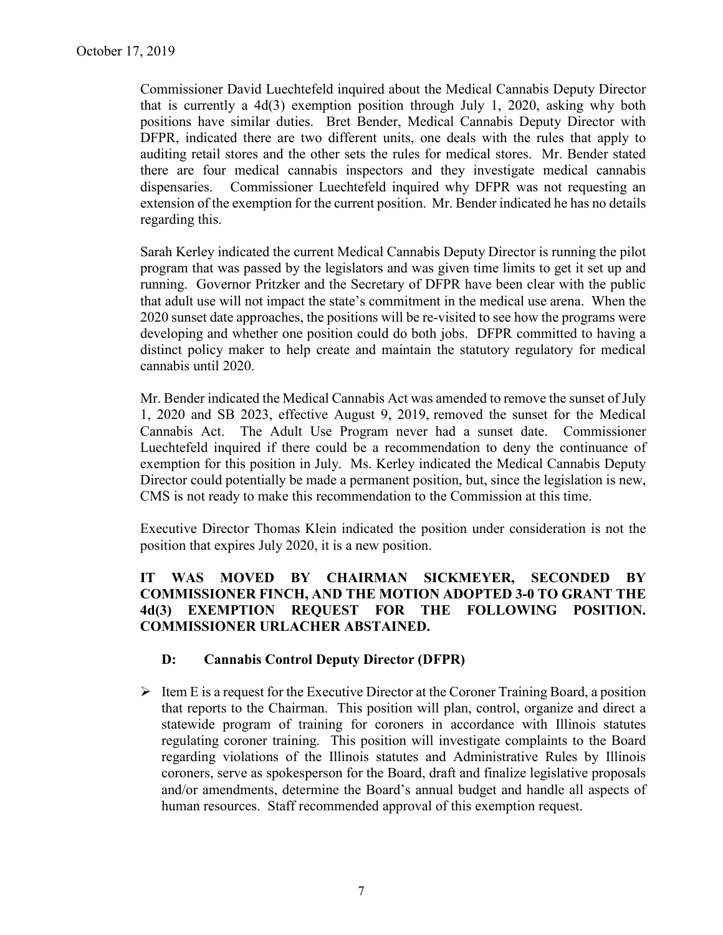Commissioner David Luechtefeld inquired about the Medical Cannabis Deputy Director that is currently a 4d(3) exemption position through July 1, 2020, asking why both positions have similar duties. Bret Bender, Medical Cannabis Deputy Director with DFPR, indicated there are two different units, one deals with the rules that apply to auditing retail stores and the other sets the rules for medical stores. Mr. Bender stated there are four medical cannabis inspectors and they investigate medical cannabis dispensaries. Commissioner Luechtefeld inquired why DFPR was not requesting an extension of the exemption for the current position. Mr. Bender indicated he has no details regarding this.

Sarah Kerley indicated the current Medical Cannabis Deputy Director is running the pilot program that was passed by the legislators and was given time limits to get it set up and running. Governor Pritzker and the Secretary of DFPR have been clear with the public that adult use will not impact the state's commitment in the medical use arena. When the 2020 sunset date approaches, the positions will be re-visited to see how the programs were developing and whether one position could do both jobs. DFPR committed to having a distinct policy maker to help create and maintain the statutory regulatory for medical cannabis until 2020.

Mr. Bender indicated the Medical Cannabis Act was amended to remove the sunset of July 1, 2020 and SB 2023, effective August 9, 2019, removed the sunset for the Medical Cannabis Act. The Adult Use Program never had a sunset date. Commissioner Luechtefeld inquired if there could be a recommendation to deny the continuance of exemption for this position in July. Ms. Kerley indicated the Medical Cannabis Deputy Director could potentially be made a permanent position, but, since the legislation is new, CMS is not ready to make this recommendation to the Commission at this time.

Executive Director Thomas Klein indicated the position under consideration is not the position that expires July 2020, it is a new position.

#### **IT WAS MOVED BY CHAIRMAN SICKMEYER, SECONDED BY COMMISSIONER FINCH, AND THE MOTION ADOPTED 3-0 TO GRANT THE 4d(3) EXEMPTION REQUEST FOR THE FOLLOWING POSITION. COMMISSIONER URLACHER ABSTAINED.**

#### **D: Cannabis Control Deputy Director (DFPR)**

 $\triangleright$  Item E is a request for the Executive Director at the Coroner Training Board, a position that reports to the Chairman. This position will plan, control, organize and direct a statewide program of training for coroners in accordance with Illinois statutes regulating coroner training. This position will investigate complaints to the Board regarding violations of the Illinois statutes and Administrative Rules by Illinois coroners, serve as spokesperson for the Board, draft and finalize legislative proposals and/or amendments, determine the Board's annual budget and handle all aspects of human resources. Staff recommended approval of this exemption request.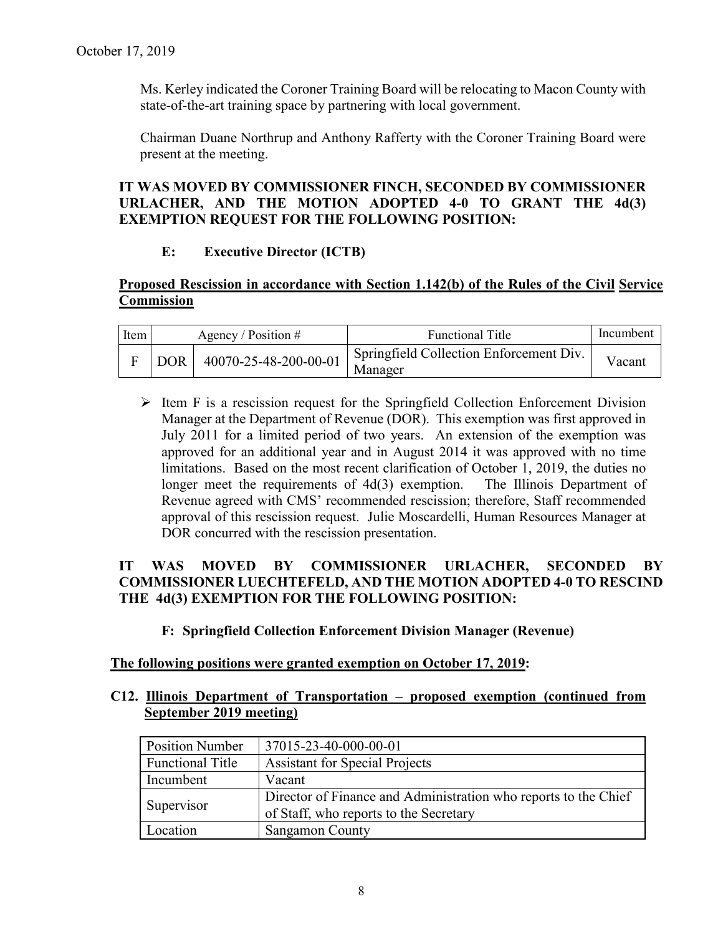Ms. Kerley indicated the Coroner Training Board will be relocating to Macon County with state-of-the-art training space by partnering with local government.

Chairman Duane Northrup and Anthony Rafferty with the Coroner Training Board were present at the meeting.

#### **IT WAS MOVED BY COMMISSIONER FINCH, SECONDED BY COMMISSIONER URLACHER, AND THE MOTION ADOPTED 4-0 TO GRANT THE 4d(3) EXEMPTION REQUEST FOR THE FOLLOWING POSITION:**

#### **E: Executive Director (ICTB)**

#### **Proposed Rescission in accordance with Section 1.142(b) of the Rules of the Civil Service Commission**

| Item |     | Agency / Position $#$ | <b>Functional Title</b>                                         | Incumbent |
|------|-----|-----------------------|-----------------------------------------------------------------|-----------|
|      | DOR | 40070-25-48-200-00-01 | <sup>1</sup> Springfield Collection Enforcement Div.<br>Manager | V acant   |

 $\triangleright$  Item F is a rescission request for the Springfield Collection Enforcement Division Manager at the Department of Revenue (DOR). This exemption was first approved in July 2011 for a limited period of two years. An extension of the exemption was approved for an additional year and in August 2014 it was approved with no time limitations. Based on the most recent clarification of October 1, 2019, the duties no longer meet the requirements of 4d(3) exemption. The Illinois Department of Revenue agreed with CMS' recommended rescission; therefore, Staff recommended approval of this rescission request. Julie Moscardelli, Human Resources Manager at DOR concurred with the rescission presentation.

#### **IT WAS MOVED BY COMMISSIONER URLACHER, SECONDED BY COMMISSIONER LUECHTEFELD, AND THE MOTION ADOPTED 4-0 TO RESCIND THE 4d(3) EXEMPTION FOR THE FOLLOWING POSITION:**

#### **F: Springfield Collection Enforcement Division Manager (Revenue)**

#### **The following positions were granted exemption on October 17, 2019:**

#### **C12. Illinois Department of Transportation – proposed exemption (continued from September 2019 meeting)**

| <b>Position Number</b>  | 37015-23-40-000-00-01                                                                                     |
|-------------------------|-----------------------------------------------------------------------------------------------------------|
| <b>Functional Title</b> | <b>Assistant for Special Projects</b>                                                                     |
| Incumbent               | Vacant                                                                                                    |
| Supervisor              | Director of Finance and Administration who reports to the Chief<br>of Staff, who reports to the Secretary |
| Location                | <b>Sangamon County</b>                                                                                    |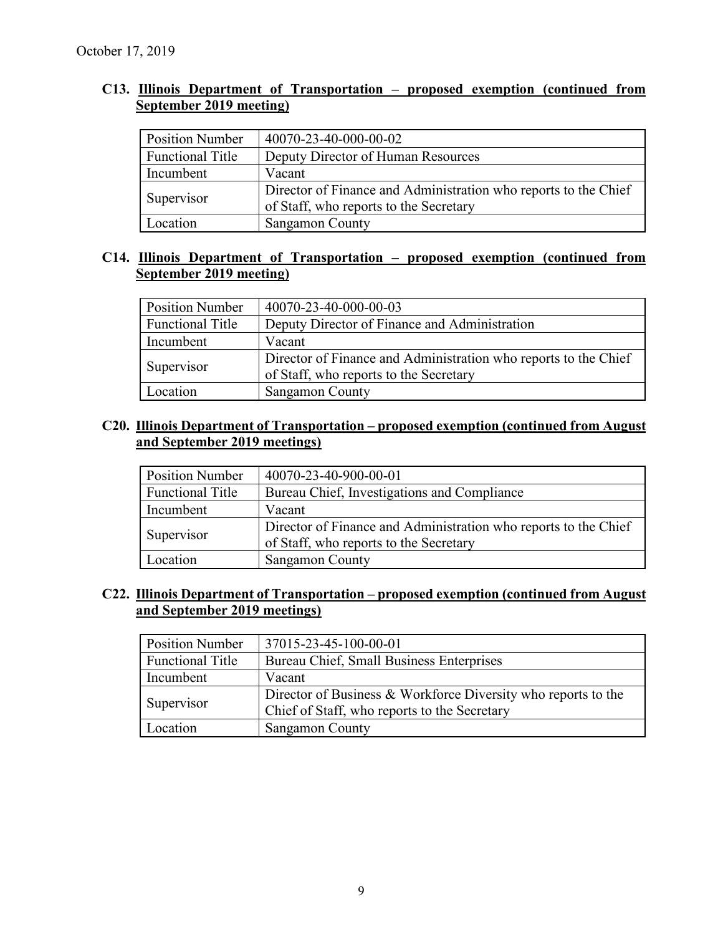#### **C13. Illinois Department of Transportation – proposed exemption (continued from September 2019 meeting)**

| <b>Position Number</b>  | 40070-23-40-000-00-02                                                                                     |
|-------------------------|-----------------------------------------------------------------------------------------------------------|
| <b>Functional Title</b> | Deputy Director of Human Resources                                                                        |
| Incumbent               | Vacant                                                                                                    |
| Supervisor              | Director of Finance and Administration who reports to the Chief<br>of Staff, who reports to the Secretary |
| Location                | Sangamon County                                                                                           |

#### **C14. Illinois Department of Transportation – proposed exemption (continued from September 2019 meeting)**

| <b>Position Number</b>  | 40070-23-40-000-00-03                                                                                     |
|-------------------------|-----------------------------------------------------------------------------------------------------------|
| <b>Functional Title</b> | Deputy Director of Finance and Administration                                                             |
| Incumbent               | Vacant                                                                                                    |
| Supervisor              | Director of Finance and Administration who reports to the Chief<br>of Staff, who reports to the Secretary |
| Location                | <b>Sangamon County</b>                                                                                    |

#### **C20. Illinois Department of Transportation – proposed exemption (continued from August and September 2019 meetings)**

| <b>Position Number</b>  | 40070-23-40-900-00-01                                                                                     |
|-------------------------|-----------------------------------------------------------------------------------------------------------|
| <b>Functional Title</b> | Bureau Chief, Investigations and Compliance                                                               |
| Incumbent               | Vacant                                                                                                    |
| Supervisor              | Director of Finance and Administration who reports to the Chief<br>of Staff, who reports to the Secretary |
| Location                | Sangamon County                                                                                           |

#### **C22. Illinois Department of Transportation – proposed exemption (continued from August and September 2019 meetings)**

| <b>Position Number</b>  | 37015-23-45-100-00-01                                                                                         |
|-------------------------|---------------------------------------------------------------------------------------------------------------|
| <b>Functional Title</b> | Bureau Chief, Small Business Enterprises                                                                      |
| Incumbent               | Vacant                                                                                                        |
| Supervisor              | Director of Business & Workforce Diversity who reports to the<br>Chief of Staff, who reports to the Secretary |
| Location                | Sangamon County                                                                                               |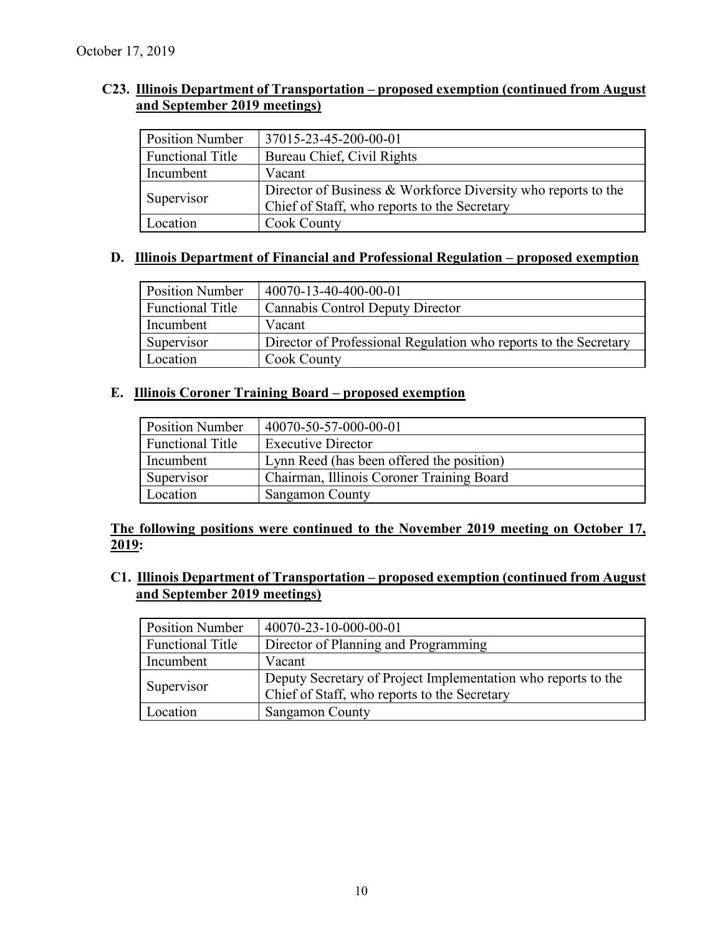#### **C23. Illinois Department of Transportation – proposed exemption (continued from August and September 2019 meetings)**

| <b>Position Number</b>  | 37015-23-45-200-00-01                                                                                         |
|-------------------------|---------------------------------------------------------------------------------------------------------------|
| <b>Functional Title</b> | Bureau Chief, Civil Rights                                                                                    |
| Incumbent               | Vacant                                                                                                        |
| Supervisor              | Director of Business & Workforce Diversity who reports to the<br>Chief of Staff, who reports to the Secretary |
| Location                | Cook County                                                                                                   |

#### **D. Illinois Department of Financial and Professional Regulation – proposed exemption**

| <b>Position Number</b>  | 40070-13-40-400-00-01                                            |
|-------------------------|------------------------------------------------------------------|
| <b>Functional Title</b> | Cannabis Control Deputy Director                                 |
| Incumbent               | Vacant                                                           |
| Supervisor              | Director of Professional Regulation who reports to the Secretary |
| Location                | Cook County                                                      |

#### **E. Illinois Coroner Training Board – proposed exemption**

| <b>Position Number</b>  | 40070-50-57-000-00-01                     |
|-------------------------|-------------------------------------------|
| <b>Functional Title</b> | <b>Executive Director</b>                 |
| Incumbent               | Lynn Reed (has been offered the position) |
| Supervisor              | Chairman, Illinois Coroner Training Board |
| Location                | <b>Sangamon County</b>                    |

#### **The following positions were continued to the November 2019 meeting on October 17, 2019:**

**C1. Illinois Department of Transportation – proposed exemption (continued from August and September 2019 meetings)**

| <b>Position Number</b>  | 40070-23-10-000-00-01                                         |
|-------------------------|---------------------------------------------------------------|
| <b>Functional Title</b> | Director of Planning and Programming                          |
| Incumbent               | Vacant                                                        |
| Supervisor              | Deputy Secretary of Project Implementation who reports to the |
|                         | Chief of Staff, who reports to the Secretary                  |
| Location                | <b>Sangamon County</b>                                        |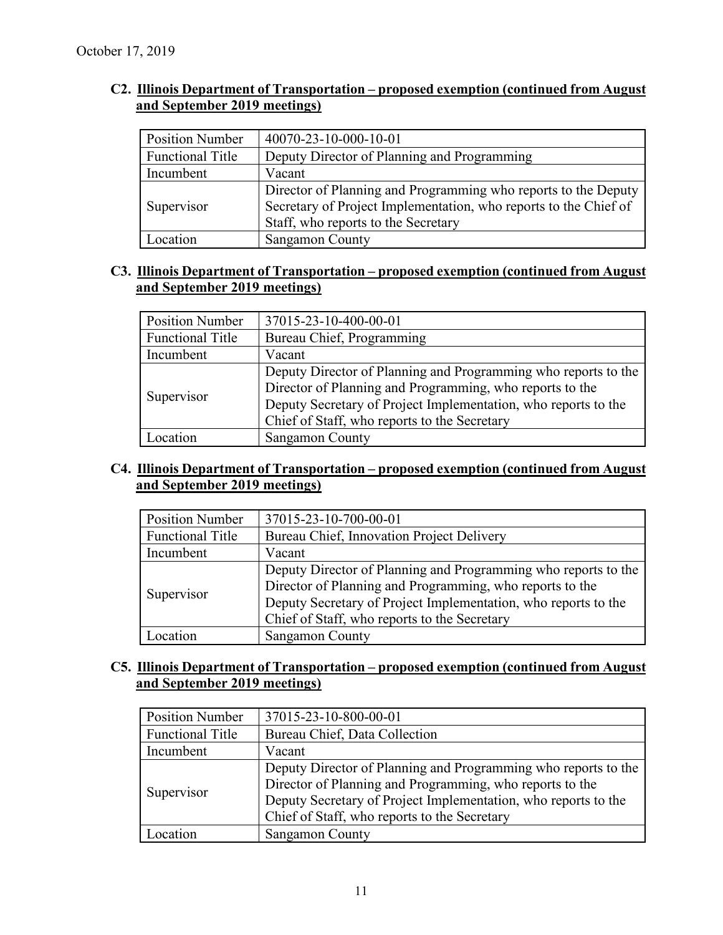#### **C2. Illinois Department of Transportation – proposed exemption (continued from August and September 2019 meetings)**

| <b>Position Number</b>  | 40070-23-10-000-10-01                                                                                                                                                     |
|-------------------------|---------------------------------------------------------------------------------------------------------------------------------------------------------------------------|
| <b>Functional Title</b> | Deputy Director of Planning and Programming                                                                                                                               |
| Incumbent               | Vacant                                                                                                                                                                    |
| Supervisor              | Director of Planning and Programming who reports to the Deputy<br>Secretary of Project Implementation, who reports to the Chief of<br>Staff, who reports to the Secretary |
| Location                | Sangamon County                                                                                                                                                           |

#### **C3. Illinois Department of Transportation – proposed exemption (continued from August and September 2019 meetings)**

| <b>Position Number</b>  | 37015-23-10-400-00-01                                                                                                                                                                                                                        |
|-------------------------|----------------------------------------------------------------------------------------------------------------------------------------------------------------------------------------------------------------------------------------------|
| <b>Functional Title</b> | Bureau Chief, Programming                                                                                                                                                                                                                    |
| Incumbent               | Vacant                                                                                                                                                                                                                                       |
| Supervisor              | Deputy Director of Planning and Programming who reports to the<br>Director of Planning and Programming, who reports to the<br>Deputy Secretary of Project Implementation, who reports to the<br>Chief of Staff, who reports to the Secretary |
| Location                | <b>Sangamon County</b>                                                                                                                                                                                                                       |

#### **C4. Illinois Department of Transportation – proposed exemption (continued from August and September 2019 meetings)**

| <b>Position Number</b>  | 37015-23-10-700-00-01                                          |
|-------------------------|----------------------------------------------------------------|
| <b>Functional Title</b> | Bureau Chief, Innovation Project Delivery                      |
| Incumbent               | Vacant                                                         |
| Supervisor              | Deputy Director of Planning and Programming who reports to the |
|                         | Director of Planning and Programming, who reports to the       |
|                         | Deputy Secretary of Project Implementation, who reports to the |
|                         | Chief of Staff, who reports to the Secretary                   |
| .ocation                | <b>Sangamon County</b>                                         |

#### **C5. Illinois Department of Transportation – proposed exemption (continued from August and September 2019 meetings)**

| <b>Position Number</b>  | 37015-23-10-800-00-01                                          |
|-------------------------|----------------------------------------------------------------|
| <b>Functional Title</b> | Bureau Chief, Data Collection                                  |
| Incumbent               | Vacant                                                         |
| Supervisor              | Deputy Director of Planning and Programming who reports to the |
|                         | Director of Planning and Programming, who reports to the       |
|                         | Deputy Secretary of Project Implementation, who reports to the |
|                         | Chief of Staff, who reports to the Secretary                   |
| .ocation                | Sangamon County                                                |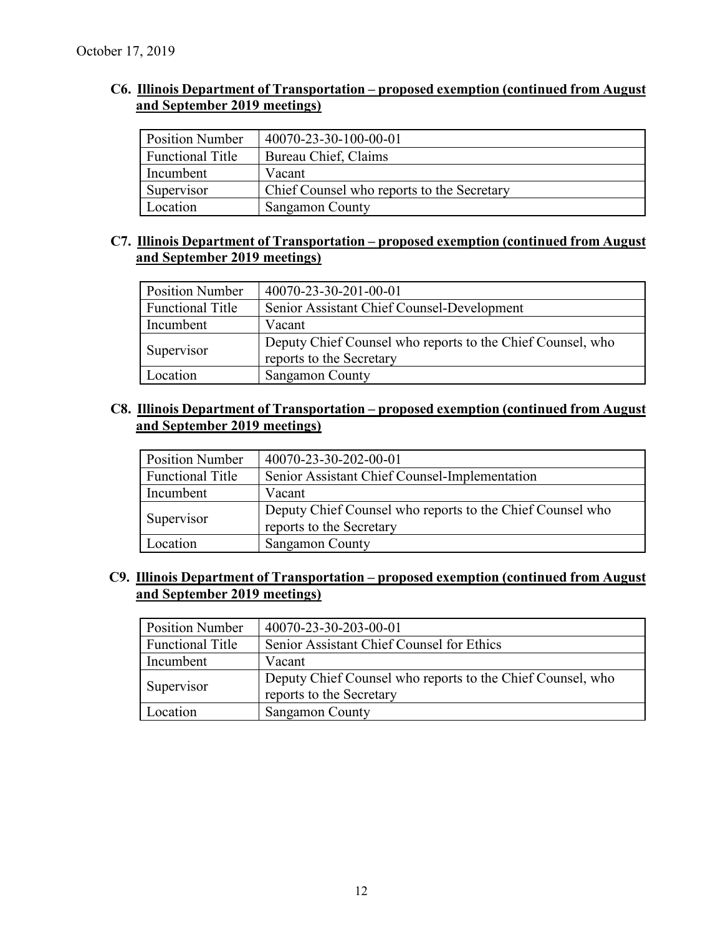#### **C6. Illinois Department of Transportation – proposed exemption (continued from August and September 2019 meetings)**

| <b>Position Number</b>  | 40070-23-30-100-00-01                      |
|-------------------------|--------------------------------------------|
| <b>Functional Title</b> | Bureau Chief, Claims                       |
| Incumbent               | Vacant                                     |
| Supervisor              | Chief Counsel who reports to the Secretary |
| Location                | <b>Sangamon County</b>                     |

#### **C7. Illinois Department of Transportation – proposed exemption (continued from August and September 2019 meetings)**

| <b>Position Number</b> | 40070-23-30-201-00-01                                                                  |
|------------------------|----------------------------------------------------------------------------------------|
| Functional Title       | Senior Assistant Chief Counsel-Development                                             |
| Incumbent              | Vacant                                                                                 |
| Supervisor             | Deputy Chief Counsel who reports to the Chief Counsel, who<br>reports to the Secretary |
| Location               | Sangamon County                                                                        |

#### **C8. Illinois Department of Transportation – proposed exemption (continued from August and September 2019 meetings)**

| <b>Position Number</b>  | 40070-23-30-202-00-01                                                                 |
|-------------------------|---------------------------------------------------------------------------------------|
| <b>Functional Title</b> | Senior Assistant Chief Counsel-Implementation                                         |
| Incumbent               | Vacant                                                                                |
| Supervisor              | Deputy Chief Counsel who reports to the Chief Counsel who<br>reports to the Secretary |
| Location                | <b>Sangamon County</b>                                                                |

#### **C9. Illinois Department of Transportation – proposed exemption (continued from August and September 2019 meetings)**

| <b>Position Number</b> | 40070-23-30-203-00-01                                                                  |
|------------------------|----------------------------------------------------------------------------------------|
| Functional Title       | Senior Assistant Chief Counsel for Ethics                                              |
| Incumbent              | Vacant                                                                                 |
| Supervisor             | Deputy Chief Counsel who reports to the Chief Counsel, who<br>reports to the Secretary |
| Location               | Sangamon County                                                                        |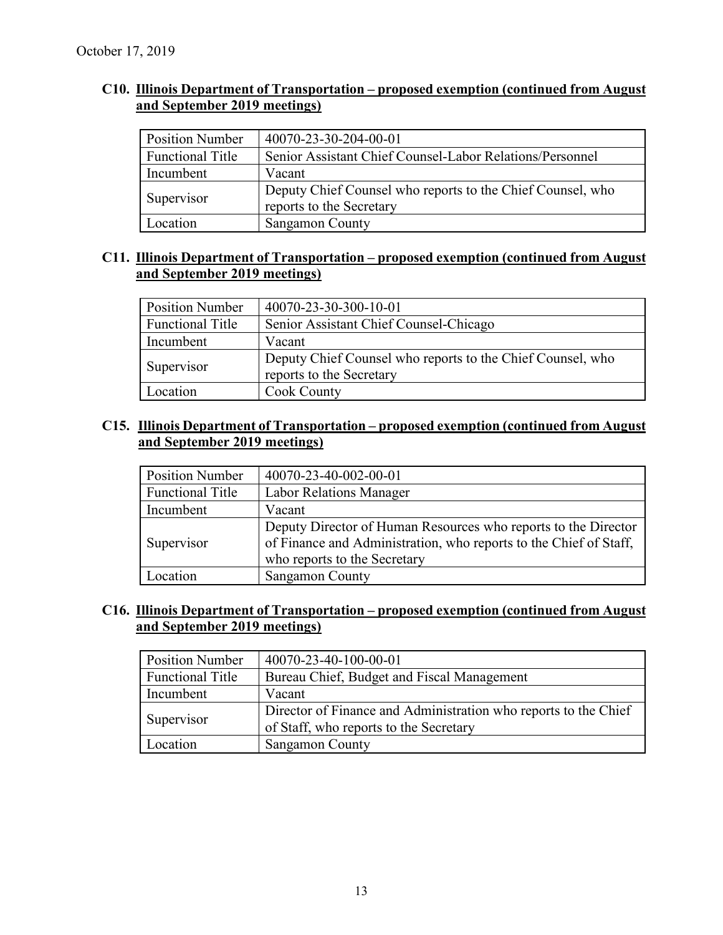#### **C10. Illinois Department of Transportation – proposed exemption (continued from August and September 2019 meetings)**

| <b>Position Number</b>  | 40070-23-30-204-00-01                                                                  |
|-------------------------|----------------------------------------------------------------------------------------|
| <b>Functional Title</b> | Senior Assistant Chief Counsel-Labor Relations/Personnel                               |
| Incumbent               | Vacant                                                                                 |
| Supervisor              | Deputy Chief Counsel who reports to the Chief Counsel, who<br>reports to the Secretary |
| Location                | Sangamon County                                                                        |

#### **C11. Illinois Department of Transportation – proposed exemption (continued from August and September 2019 meetings)**

| <b>Position Number</b>  | 40070-23-30-300-10-01                                                                  |
|-------------------------|----------------------------------------------------------------------------------------|
| <b>Functional Title</b> | Senior Assistant Chief Counsel-Chicago                                                 |
| Incumbent               | Vacant                                                                                 |
| Supervisor              | Deputy Chief Counsel who reports to the Chief Counsel, who<br>reports to the Secretary |
| Location                | Cook County                                                                            |

#### **C15. Illinois Department of Transportation – proposed exemption (continued from August and September 2019 meetings)**

| <b>Position Number</b>  | 40070-23-40-002-00-01                                                                                                                                               |
|-------------------------|---------------------------------------------------------------------------------------------------------------------------------------------------------------------|
| <b>Functional Title</b> | <b>Labor Relations Manager</b>                                                                                                                                      |
| Incumbent               | Vacant                                                                                                                                                              |
| Supervisor              | Deputy Director of Human Resources who reports to the Director<br>of Finance and Administration, who reports to the Chief of Staff,<br>who reports to the Secretary |
| Location                | <b>Sangamon County</b>                                                                                                                                              |

#### **C16. Illinois Department of Transportation – proposed exemption (continued from August and September 2019 meetings)**

| <b>Position Number</b>  | 40070-23-40-100-00-01                                           |
|-------------------------|-----------------------------------------------------------------|
| <b>Functional Title</b> | Bureau Chief, Budget and Fiscal Management                      |
| Incumbent               | Vacant                                                          |
| Supervisor              | Director of Finance and Administration who reports to the Chief |
|                         | of Staff, who reports to the Secretary                          |
| Location                | Sangamon County                                                 |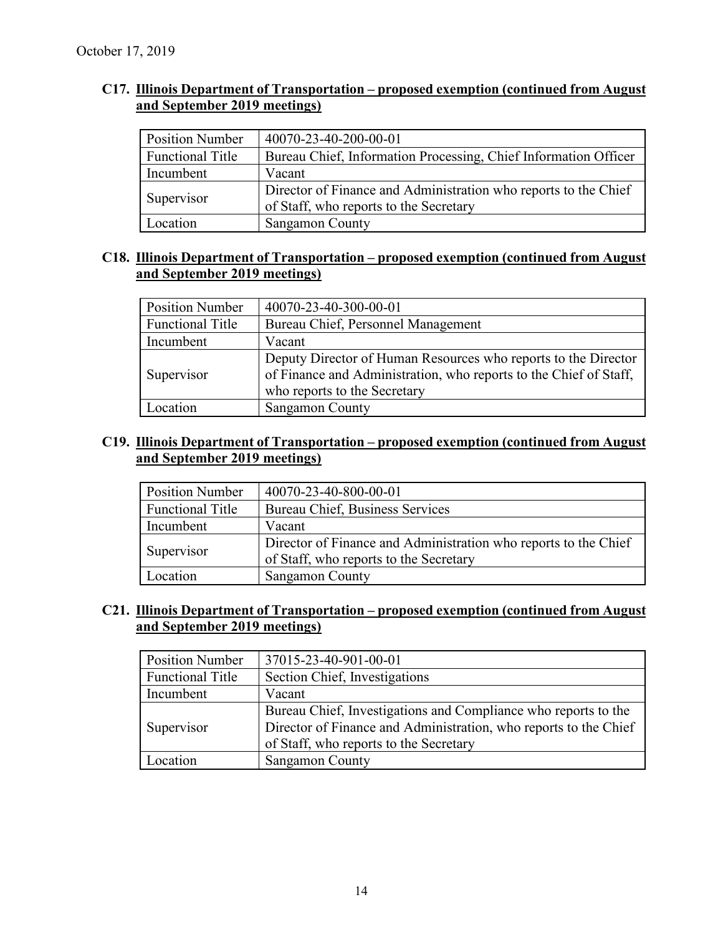#### **C17. Illinois Department of Transportation – proposed exemption (continued from August and September 2019 meetings)**

| <b>Position Number</b>  | 40070-23-40-200-00-01                                                                                     |
|-------------------------|-----------------------------------------------------------------------------------------------------------|
| <b>Functional Title</b> | Bureau Chief, Information Processing, Chief Information Officer                                           |
| Incumbent               | Vacant                                                                                                    |
| Supervisor              | Director of Finance and Administration who reports to the Chief<br>of Staff, who reports to the Secretary |
| Location                | Sangamon County                                                                                           |

#### **C18. Illinois Department of Transportation – proposed exemption (continued from August and September 2019 meetings)**

| <b>Position Number</b>  | 40070-23-40-300-00-01                                                                                                                                               |  |
|-------------------------|---------------------------------------------------------------------------------------------------------------------------------------------------------------------|--|
| <b>Functional Title</b> | Bureau Chief, Personnel Management                                                                                                                                  |  |
| Incumbent               | Vacant                                                                                                                                                              |  |
| Supervisor              | Deputy Director of Human Resources who reports to the Director<br>of Finance and Administration, who reports to the Chief of Staff,<br>who reports to the Secretary |  |
| ocation                 | Sangamon County                                                                                                                                                     |  |

#### **C19. Illinois Department of Transportation – proposed exemption (continued from August and September 2019 meetings)**

| <b>Position Number</b>  | 40070-23-40-800-00-01                                                                                     |
|-------------------------|-----------------------------------------------------------------------------------------------------------|
| <b>Functional Title</b> | Bureau Chief, Business Services                                                                           |
| Incumbent               | Vacant                                                                                                    |
| Supervisor              | Director of Finance and Administration who reports to the Chief<br>of Staff, who reports to the Secretary |
| Location                | Sangamon County                                                                                           |

#### **C21. Illinois Department of Transportation – proposed exemption (continued from August and September 2019 meetings)**

| <b>Position Number</b>  | 37015-23-40-901-00-01                                                                                                                                                        |  |
|-------------------------|------------------------------------------------------------------------------------------------------------------------------------------------------------------------------|--|
| <b>Functional Title</b> | Section Chief, Investigations                                                                                                                                                |  |
| Incumbent               | Vacant                                                                                                                                                                       |  |
| Supervisor              | Bureau Chief, Investigations and Compliance who reports to the<br>Director of Finance and Administration, who reports to the Chief<br>of Staff, who reports to the Secretary |  |
| Location                | <b>Sangamon County</b>                                                                                                                                                       |  |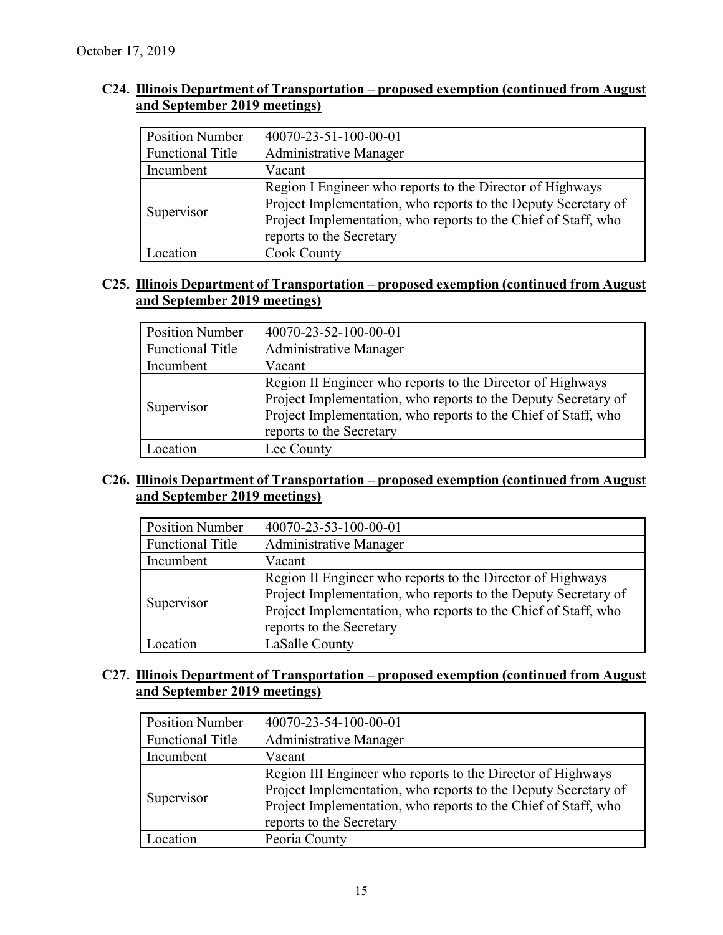| C24. Illinois Department of Transportation – proposed exemption (continued from August) |  |  |
|-----------------------------------------------------------------------------------------|--|--|
| and September 2019 meetings)                                                            |  |  |

| <b>Position Number</b>  | 40070-23-51-100-00-01                                                                                                                                                                                                     |  |
|-------------------------|---------------------------------------------------------------------------------------------------------------------------------------------------------------------------------------------------------------------------|--|
| <b>Functional Title</b> | <b>Administrative Manager</b>                                                                                                                                                                                             |  |
| Incumbent               | Vacant                                                                                                                                                                                                                    |  |
| Supervisor              | Region I Engineer who reports to the Director of Highways<br>Project Implementation, who reports to the Deputy Secretary of<br>Project Implementation, who reports to the Chief of Staff, who<br>reports to the Secretary |  |
| Location                | Cook County                                                                                                                                                                                                               |  |

#### **C25. Illinois Department of Transportation – proposed exemption (continued from August and September 2019 meetings)**

| <b>Position Number</b>  | 40070-23-52-100-00-01                                                                                                                                                                                                      |  |
|-------------------------|----------------------------------------------------------------------------------------------------------------------------------------------------------------------------------------------------------------------------|--|
| <b>Functional Title</b> | Administrative Manager                                                                                                                                                                                                     |  |
| Incumbent               | Vacant                                                                                                                                                                                                                     |  |
| Supervisor              | Region II Engineer who reports to the Director of Highways<br>Project Implementation, who reports to the Deputy Secretary of<br>Project Implementation, who reports to the Chief of Staff, who<br>reports to the Secretary |  |
| .ocation                | Lee County                                                                                                                                                                                                                 |  |

#### **C26. Illinois Department of Transportation – proposed exemption (continued from August and September 2019 meetings)**

| <b>Position Number</b>  | 40070-23-53-100-00-01                                                                                                                                                                                                      |  |
|-------------------------|----------------------------------------------------------------------------------------------------------------------------------------------------------------------------------------------------------------------------|--|
| <b>Functional Title</b> | Administrative Manager                                                                                                                                                                                                     |  |
| Incumbent               | Vacant                                                                                                                                                                                                                     |  |
| Supervisor              | Region II Engineer who reports to the Director of Highways<br>Project Implementation, who reports to the Deputy Secretary of<br>Project Implementation, who reports to the Chief of Staff, who<br>reports to the Secretary |  |
| .ocation                | LaSalle County                                                                                                                                                                                                             |  |

#### **C27. Illinois Department of Transportation – proposed exemption (continued from August and September 2019 meetings)**

| <b>Position Number</b>  | 40070-23-54-100-00-01                                          |  |
|-------------------------|----------------------------------------------------------------|--|
| <b>Functional Title</b> | Administrative Manager                                         |  |
| Incumbent               | Vacant                                                         |  |
| Supervisor              | Region III Engineer who reports to the Director of Highways    |  |
|                         | Project Implementation, who reports to the Deputy Secretary of |  |
|                         | Project Implementation, who reports to the Chief of Staff, who |  |
|                         | reports to the Secretary                                       |  |
| Location                | Peoria County                                                  |  |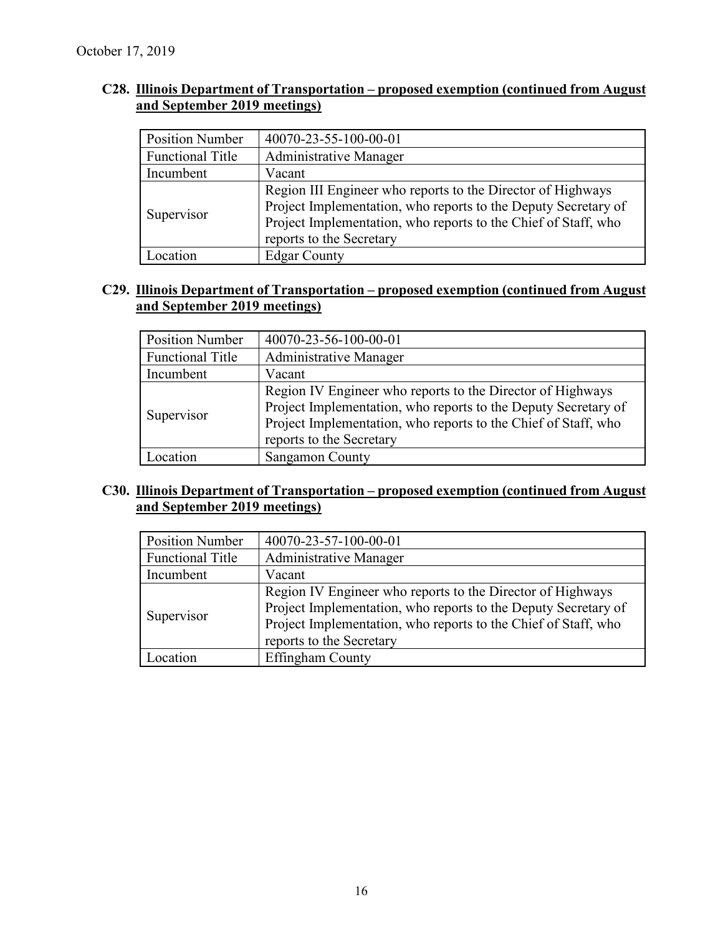#### **C28. Illinois Department of Transportation – proposed exemption (continued from August and September 2019 meetings)**

| <b>Position Number</b>  | 40070-23-55-100-00-01                                                                                                                                                                                                       |  |
|-------------------------|-----------------------------------------------------------------------------------------------------------------------------------------------------------------------------------------------------------------------------|--|
| <b>Functional Title</b> | Administrative Manager                                                                                                                                                                                                      |  |
| Incumbent               | Vacant                                                                                                                                                                                                                      |  |
| Supervisor              | Region III Engineer who reports to the Director of Highways<br>Project Implementation, who reports to the Deputy Secretary of<br>Project Implementation, who reports to the Chief of Staff, who<br>reports to the Secretary |  |
| ocation                 | <b>Edgar County</b>                                                                                                                                                                                                         |  |

#### **C29. Illinois Department of Transportation – proposed exemption (continued from August and September 2019 meetings)**

| <b>Position Number</b>  | 40070-23-56-100-00-01                                                                                                                                                                                                      |  |
|-------------------------|----------------------------------------------------------------------------------------------------------------------------------------------------------------------------------------------------------------------------|--|
| <b>Functional Title</b> | Administrative Manager                                                                                                                                                                                                     |  |
| Incumbent               | Vacant                                                                                                                                                                                                                     |  |
| Supervisor              | Region IV Engineer who reports to the Director of Highways<br>Project Implementation, who reports to the Deputy Secretary of<br>Project Implementation, who reports to the Chief of Staff, who<br>reports to the Secretary |  |
| Location                | Sangamon County                                                                                                                                                                                                            |  |

#### **C30. Illinois Department of Transportation – proposed exemption (continued from August and September 2019 meetings)**

| <b>Position Number</b>  | 40070-23-57-100-00-01                                                                                                                                                                                                      |  |
|-------------------------|----------------------------------------------------------------------------------------------------------------------------------------------------------------------------------------------------------------------------|--|
| <b>Functional Title</b> | Administrative Manager                                                                                                                                                                                                     |  |
| Incumbent               | Vacant                                                                                                                                                                                                                     |  |
| Supervisor              | Region IV Engineer who reports to the Director of Highways<br>Project Implementation, who reports to the Deputy Secretary of<br>Project Implementation, who reports to the Chief of Staff, who<br>reports to the Secretary |  |
| Location                | Effingham County                                                                                                                                                                                                           |  |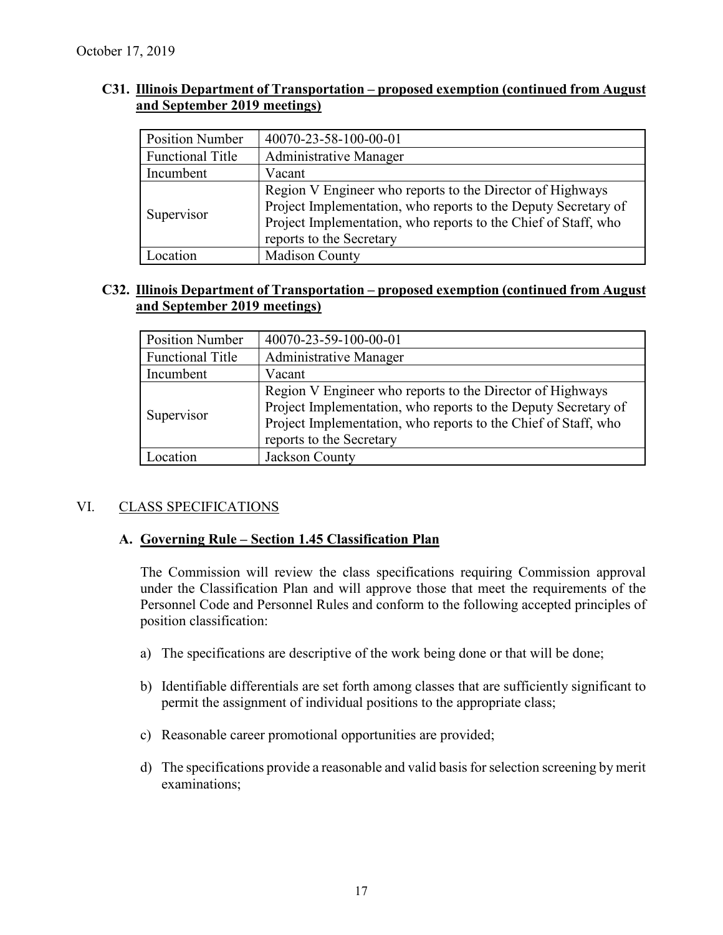#### **C31. Illinois Department of Transportation – proposed exemption (continued from August and September 2019 meetings)**

| <b>Position Number</b>  | 40070-23-58-100-00-01                                                                                                                                                                                                     |  |
|-------------------------|---------------------------------------------------------------------------------------------------------------------------------------------------------------------------------------------------------------------------|--|
| <b>Functional Title</b> | Administrative Manager                                                                                                                                                                                                    |  |
| Incumbent               | Vacant                                                                                                                                                                                                                    |  |
| Supervisor              | Region V Engineer who reports to the Director of Highways<br>Project Implementation, who reports to the Deputy Secretary of<br>Project Implementation, who reports to the Chief of Staff, who<br>reports to the Secretary |  |
| ocation                 | <b>Madison County</b>                                                                                                                                                                                                     |  |

#### **C32. Illinois Department of Transportation – proposed exemption (continued from August and September 2019 meetings)**

| <b>Position Number</b>  | 40070-23-59-100-00-01                                                                                                                                                                                                     |
|-------------------------|---------------------------------------------------------------------------------------------------------------------------------------------------------------------------------------------------------------------------|
| <b>Functional Title</b> | Administrative Manager                                                                                                                                                                                                    |
| Incumbent               | Vacant                                                                                                                                                                                                                    |
| Supervisor              | Region V Engineer who reports to the Director of Highways<br>Project Implementation, who reports to the Deputy Secretary of<br>Project Implementation, who reports to the Chief of Staff, who<br>reports to the Secretary |
| .ocation                | Jackson County                                                                                                                                                                                                            |

#### VI. CLASS SPECIFICATIONS

#### **A. Governing Rule – Section 1.45 Classification Plan**

The Commission will review the class specifications requiring Commission approval under the Classification Plan and will approve those that meet the requirements of the Personnel Code and Personnel Rules and conform to the following accepted principles of position classification:

- a) The specifications are descriptive of the work being done or that will be done;
- b) Identifiable differentials are set forth among classes that are sufficiently significant to permit the assignment of individual positions to the appropriate class;
- c) Reasonable career promotional opportunities are provided;
- d) The specifications provide a reasonable and valid basis for selection screening by merit examinations;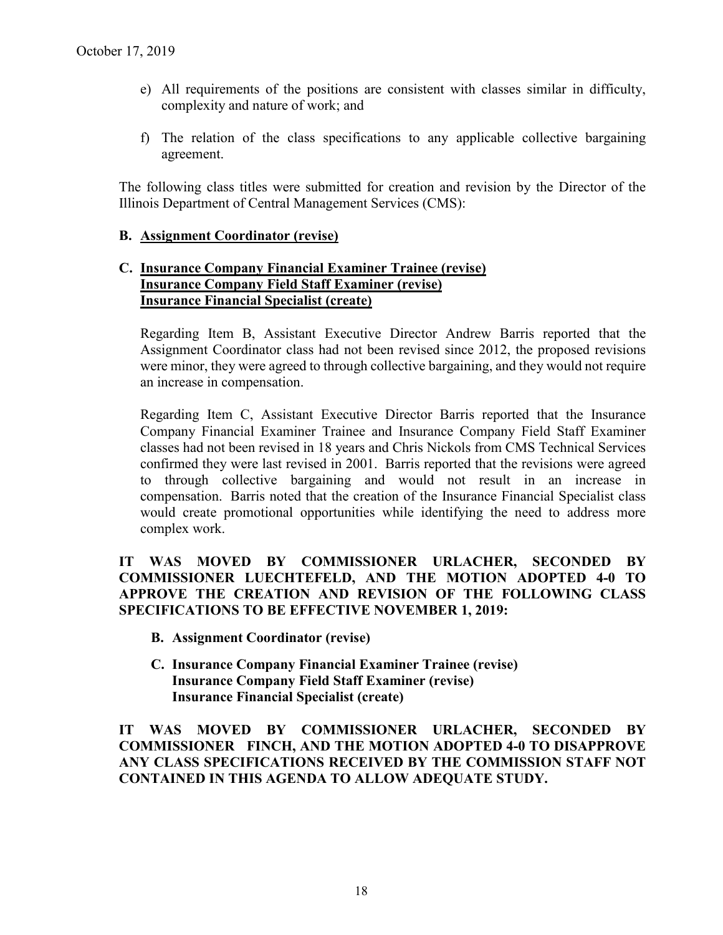- e) All requirements of the positions are consistent with classes similar in difficulty, complexity and nature of work; and
- f) The relation of the class specifications to any applicable collective bargaining agreement.

The following class titles were submitted for creation and revision by the Director of the Illinois Department of Central Management Services (CMS):

#### **B. Assignment Coordinator (revise)**

#### **C. Insurance Company Financial Examiner Trainee (revise) Insurance Company Field Staff Examiner (revise) Insurance Financial Specialist (create)**

Regarding Item B, Assistant Executive Director Andrew Barris reported that the Assignment Coordinator class had not been revised since 2012, the proposed revisions were minor, they were agreed to through collective bargaining, and they would not require an increase in compensation.

Regarding Item C, Assistant Executive Director Barris reported that the Insurance Company Financial Examiner Trainee and Insurance Company Field Staff Examiner classes had not been revised in 18 years and Chris Nickols from CMS Technical Services confirmed they were last revised in 2001. Barris reported that the revisions were agreed to through collective bargaining and would not result in an increase in compensation. Barris noted that the creation of the Insurance Financial Specialist class would create promotional opportunities while identifying the need to address more complex work.

#### **IT WAS MOVED BY COMMISSIONER URLACHER, SECONDED BY COMMISSIONER LUECHTEFELD, AND THE MOTION ADOPTED 4-0 TO APPROVE THE CREATION AND REVISION OF THE FOLLOWING CLASS SPECIFICATIONS TO BE EFFECTIVE NOVEMBER 1, 2019:**

- **B. Assignment Coordinator (revise)**
- **C. Insurance Company Financial Examiner Trainee (revise) Insurance Company Field Staff Examiner (revise) Insurance Financial Specialist (create)**

**IT WAS MOVED BY COMMISSIONER URLACHER, SECONDED BY COMMISSIONER FINCH, AND THE MOTION ADOPTED 4-0 TO DISAPPROVE ANY CLASS SPECIFICATIONS RECEIVED BY THE COMMISSION STAFF NOT CONTAINED IN THIS AGENDA TO ALLOW ADEQUATE STUDY.**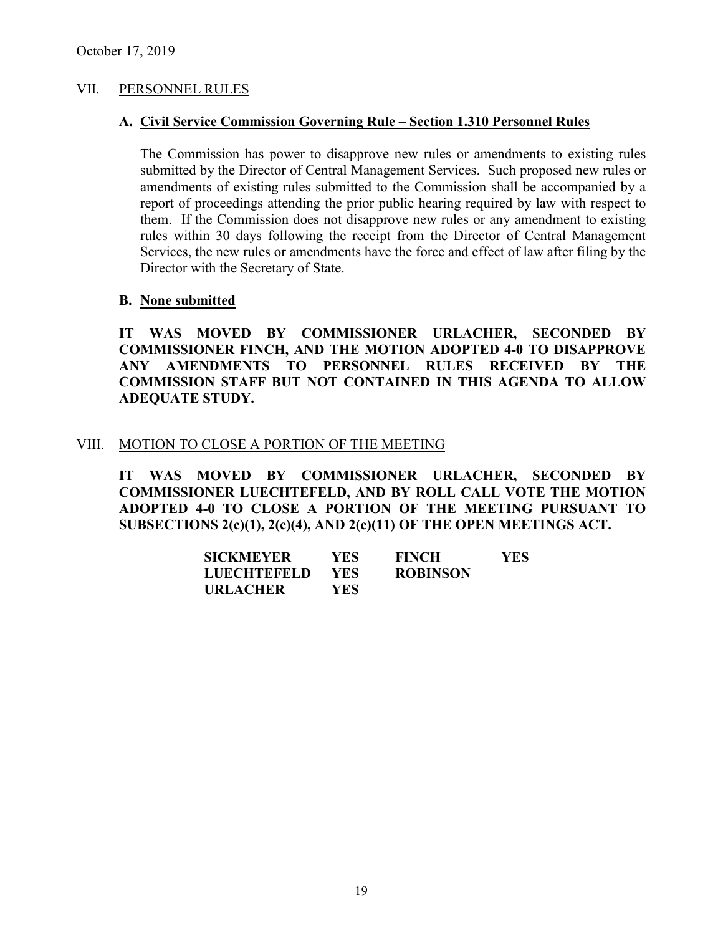#### VII. PERSONNEL RULES

#### **A. Civil Service Commission Governing Rule – Section 1.310 Personnel Rules**

The Commission has power to disapprove new rules or amendments to existing rules submitted by the Director of Central Management Services. Such proposed new rules or amendments of existing rules submitted to the Commission shall be accompanied by a report of proceedings attending the prior public hearing required by law with respect to them. If the Commission does not disapprove new rules or any amendment to existing rules within 30 days following the receipt from the Director of Central Management Services, the new rules or amendments have the force and effect of law after filing by the Director with the Secretary of State.

#### **B. None submitted**

**IT WAS MOVED BY COMMISSIONER URLACHER, SECONDED BY COMMISSIONER FINCH, AND THE MOTION ADOPTED 4-0 TO DISAPPROVE ANY AMENDMENTS TO PERSONNEL RULES RECEIVED BY THE COMMISSION STAFF BUT NOT CONTAINED IN THIS AGENDA TO ALLOW ADEQUATE STUDY.** 

#### VIII. MOTION TO CLOSE A PORTION OF THE MEETING

**IT WAS MOVED BY COMMISSIONER URLACHER, SECONDED BY COMMISSIONER LUECHTEFELD, AND BY ROLL CALL VOTE THE MOTION ADOPTED 4-0 TO CLOSE A PORTION OF THE MEETING PURSUANT TO SUBSECTIONS 2(c)(1), 2(c)(4), AND 2(c)(11) OF THE OPEN MEETINGS ACT.**

| <b>SICKMEYER</b>   | YES.       | <b>FINCH</b>    | YES. |
|--------------------|------------|-----------------|------|
| <b>LUECHTEFELD</b> | <b>YES</b> | <b>ROBINSON</b> |      |
| <b>URLACHER</b>    | YES.       |                 |      |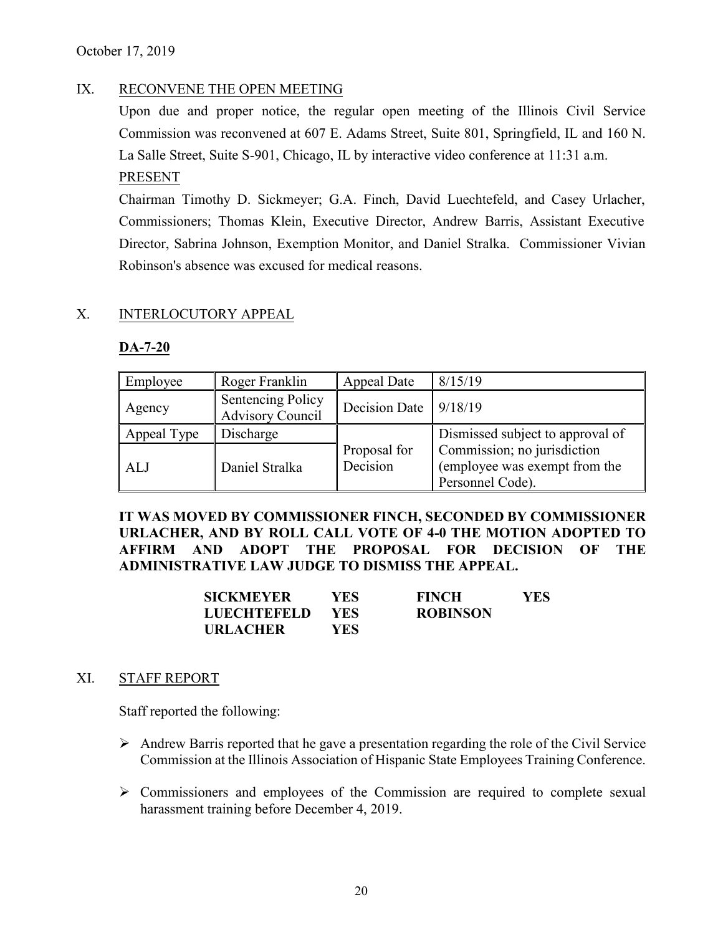#### IX. RECONVENE THE OPEN MEETING

Upon due and proper notice, the regular open meeting of the Illinois Civil Service Commission was reconvened at 607 E. Adams Street, Suite 801, Springfield, IL and 160 N. La Salle Street, Suite S-901, Chicago, IL by interactive video conference at 11:31 a.m. PRESENT

Chairman Timothy D. Sickmeyer; G.A. Finch, David Luechtefeld, and Casey Urlacher, Commissioners; Thomas Klein, Executive Director, Andrew Barris, Assistant Executive Director, Sabrina Johnson, Exemption Monitor, and Daniel Stralka. Commissioner Vivian Robinson's absence was excused for medical reasons.

#### X. INTERLOCUTORY APPEAL

#### **DA-7-20**

| Employee    | Roger Franklin                                      | Appeal Date              | 8/15/19                                                                          |
|-------------|-----------------------------------------------------|--------------------------|----------------------------------------------------------------------------------|
| Agency      | <b>Sentencing Policy</b><br><b>Advisory Council</b> | Decision Date            | 9/18/19                                                                          |
| Appeal Type | Discharge                                           |                          | Dismissed subject to approval of                                                 |
| ALJ         | Daniel Stralka                                      | Proposal for<br>Decision | Commission; no jurisdiction<br>(employee was exempt from the<br>Personnel Code). |

**IT WAS MOVED BY COMMISSIONER FINCH, SECONDED BY COMMISSIONER URLACHER, AND BY ROLL CALL VOTE OF 4-0 THE MOTION ADOPTED TO AFFIRM AND ADOPT THE PROPOSAL FOR DECISION OF THE ADMINISTRATIVE LAW JUDGE TO DISMISS THE APPEAL.**

| <b>SICKMEYER</b>   | YES | <b>FINCH</b>    | YES |
|--------------------|-----|-----------------|-----|
| <b>LUECHTEFELD</b> | YES | <b>ROBINSON</b> |     |
| <b>URLACHER</b>    | YES |                 |     |

#### XI. STAFF REPORT

Staff reported the following:

- $\triangleright$  Andrew Barris reported that he gave a presentation regarding the role of the Civil Service Commission at the Illinois Association of Hispanic State Employees Training Conference.
- $\triangleright$  Commissioners and employees of the Commission are required to complete sexual harassment training before December 4, 2019.